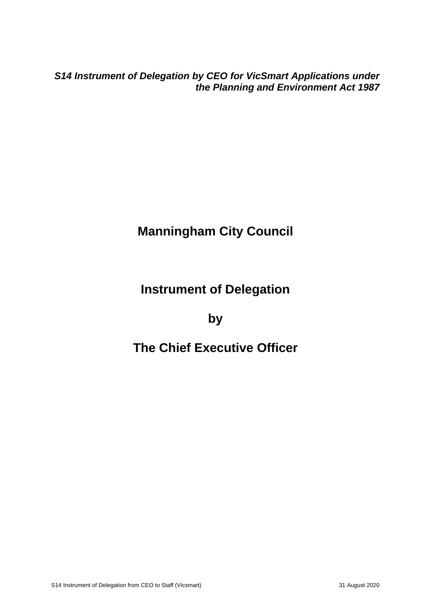*S14 Instrument of Delegation by CEO for VicSmart Applications under the Planning and Environment Act 1987*

# **Manningham City Council**

### **Instrument of Delegation**

#### **by**

### **The Chief Executive Officer**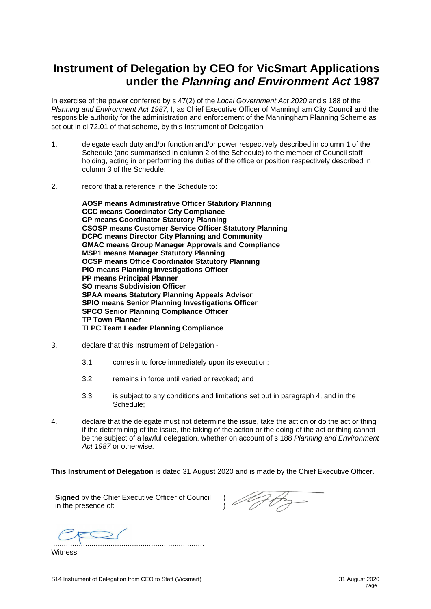#### **Instrument of Delegation by CEO for VicSmart Applications under the** *Planning and Environment Act* **1987**

In exercise of the power conferred by s 47(2) of the *Local Government Act 2020* and s 188 of the *Planning and Environment Act 1987*, I, as Chief Executive Officer of Manningham City Council and the responsible authority for the administration and enforcement of the Manningham Planning Scheme as set out in cl 72.01 of that scheme, by this Instrument of Delegation -

- 1. delegate each duty and/or function and/or power respectively described in column 1 of the Schedule (and summarised in column 2 of the Schedule) to the member of Council staff holding, acting in or performing the duties of the office or position respectively described in column 3 of the Schedule;
- 2. record that a reference in the Schedule to:

**AOSP means Administrative Officer Statutory Planning CCC means Coordinator City Compliance CP means Coordinator Statutory Planning CSOSP means Customer Service Officer Statutory Planning DCPC means Director City Planning and Community GMAC means Group Manager Approvals and Compliance MSP1 means Manager Statutory Planning OCSP means Office Coordinator Statutory Planning PIO means Planning Investigations Officer PP means Principal Planner SO means Subdivision Officer SPAA means Statutory Planning Appeals Advisor SPIO means Senior Planning Investigations Officer SPCO Senior Planning Compliance Officer TP Town Planner TLPC Team Leader Planning Compliance**

- 3. declare that this Instrument of Delegation
	- 3.1 comes into force immediately upon its execution;
	- 3.2 remains in force until varied or revoked; and
	- 3.3 is subject to any conditions and limitations set out in paragraph 4, and in the Schedule;
- 4. declare that the delegate must not determine the issue, take the action or do the act or thing if the determining of the issue, the taking of the action or the doing of the act or thing cannot be the subject of a lawful delegation, whether on account of s 188 *Planning and Environment Act 1987* or otherwise.

**This Instrument of Delegation** is dated 31 August 2020 and is made by the Chief Executive Officer.

**Signed** by the Chief Executive Officer of Council in the presence of:

) )

.......................................................................

**Witness**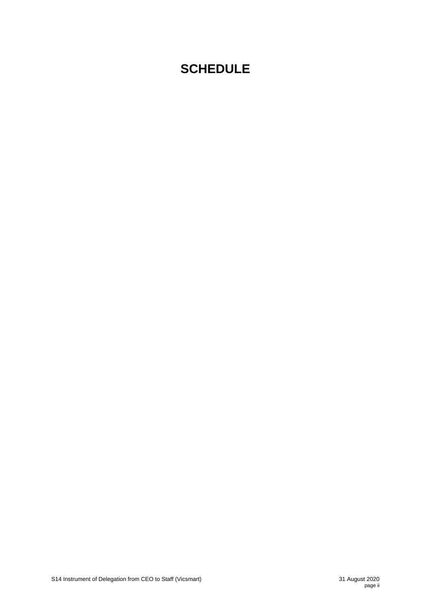## **SCHEDULE**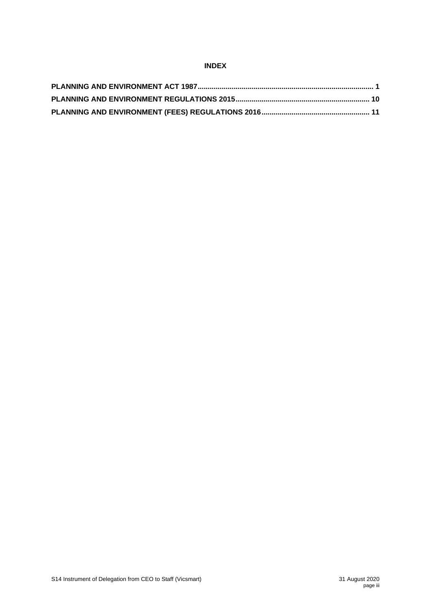#### **INDEX**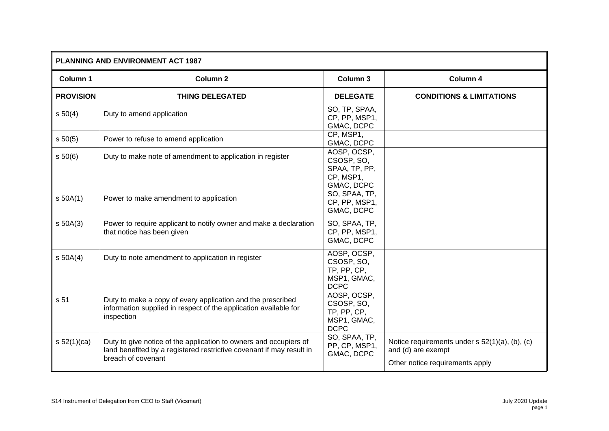| <b>PLANNING AND ENVIRONMENT ACT 1987</b> |                                                                                                                                                                 |                                                                        |                                                                                                         |
|------------------------------------------|-----------------------------------------------------------------------------------------------------------------------------------------------------------------|------------------------------------------------------------------------|---------------------------------------------------------------------------------------------------------|
| Column 1                                 | <b>Column 2</b>                                                                                                                                                 | <b>Column 3</b>                                                        | Column 4                                                                                                |
| <b>PROVISION</b>                         | <b>THING DELEGATED</b>                                                                                                                                          | <b>DELEGATE</b>                                                        | <b>CONDITIONS &amp; LIMITATIONS</b>                                                                     |
| s 50(4)                                  | Duty to amend application                                                                                                                                       | SO, TP, SPAA,<br>CP, PP, MSP1,<br>GMAC, DCPC                           |                                                                                                         |
| s 50(5)                                  | Power to refuse to amend application                                                                                                                            | CP, MSP1,<br>GMAC, DCPC                                                |                                                                                                         |
| s 50(6)                                  | Duty to make note of amendment to application in register                                                                                                       | AOSP, OCSP,<br>CSOSP, SO,<br>SPAA, TP, PP,<br>CP, MSP1,<br>GMAC, DCPC  |                                                                                                         |
| $s$ 50A(1)                               | Power to make amendment to application                                                                                                                          | SO, SPAA, TP,<br>CP, PP, MSP1,<br>GMAC, DCPC                           |                                                                                                         |
| $s$ 50A(3)                               | Power to require applicant to notify owner and make a declaration<br>that notice has been given                                                                 | SO, SPAA, TP,<br>CP, PP, MSP1,<br>GMAC, DCPC                           |                                                                                                         |
| s 50A(4)                                 | Duty to note amendment to application in register                                                                                                               | AOSP, OCSP,<br>CSOSP, SO,<br>TP, PP, CP,<br>MSP1, GMAC,<br><b>DCPC</b> |                                                                                                         |
| s 51                                     | Duty to make a copy of every application and the prescribed<br>information supplied in respect of the application available for<br>inspection                   | AOSP, OCSP,<br>CSOSP, SO,<br>TP, PP, CP,<br>MSP1, GMAC,<br><b>DCPC</b> |                                                                                                         |
| s 52(1)(ca)                              | Duty to give notice of the application to owners and occupiers of<br>land benefited by a registered restrictive covenant if may result in<br>breach of covenant | SO, SPAA, TP,<br>PP, CP, MSP1,<br>GMAC, DCPC                           | Notice requirements under s 52(1)(a), (b), (c)<br>and (d) are exempt<br>Other notice requirements apply |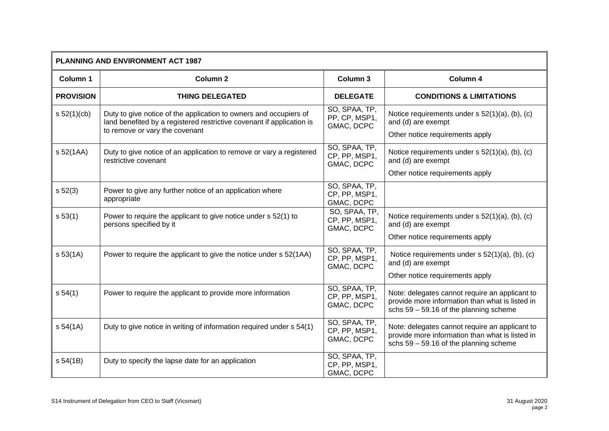| <b>PLANNING AND ENVIRONMENT ACT 1987</b> |                                                                                                                                                                              |                                              |                                                                                                                                               |
|------------------------------------------|------------------------------------------------------------------------------------------------------------------------------------------------------------------------------|----------------------------------------------|-----------------------------------------------------------------------------------------------------------------------------------------------|
| Column 1                                 | <b>Column 2</b>                                                                                                                                                              | <b>Column 3</b>                              | Column 4                                                                                                                                      |
| <b>PROVISION</b>                         | <b>THING DELEGATED</b>                                                                                                                                                       | <b>DELEGATE</b>                              | <b>CONDITIONS &amp; LIMITATIONS</b>                                                                                                           |
| s 52(1)(cb)                              | Duty to give notice of the application to owners and occupiers of<br>land benefited by a registered restrictive covenant if application is<br>to remove or vary the covenant | SO, SPAA, TP,<br>PP, CP, MSP1,<br>GMAC, DCPC | Notice requirements under $s$ 52(1)(a), (b), (c)<br>and (d) are exempt<br>Other notice requirements apply                                     |
| s 52(1AA)                                | Duty to give notice of an application to remove or vary a registered<br>restrictive covenant                                                                                 | SO, SPAA, TP,<br>CP, PP, MSP1,<br>GMAC, DCPC | Notice requirements under s 52(1)(a), (b), (c)<br>and (d) are exempt<br>Other notice requirements apply                                       |
| s 52(3)                                  | Power to give any further notice of an application where<br>appropriate                                                                                                      | SO, SPAA, TP,<br>CP, PP, MSP1,<br>GMAC, DCPC |                                                                                                                                               |
| s 53(1)                                  | Power to require the applicant to give notice under s 52(1) to<br>persons specified by it                                                                                    | SO, SPAA, TP,<br>CP, PP, MSP1,<br>GMAC, DCPC | Notice requirements under s 52(1)(a), (b), (c)<br>and (d) are exempt                                                                          |
| s 53(1A)                                 | Power to require the applicant to give the notice under s 52(1AA)                                                                                                            | SO, SPAA, TP,<br>CP, PP, MSP1,<br>GMAC, DCPC | Other notice requirements apply<br>Notice requirements under s 52(1)(a), (b), (c)<br>and (d) are exempt<br>Other notice requirements apply    |
| s 54(1)                                  | Power to require the applicant to provide more information                                                                                                                   | SO, SPAA, TP,<br>CP, PP, MSP1,<br>GMAC, DCPC | Note: delegates cannot require an applicant to<br>provide more information than what is listed in<br>schs $59 - 59.16$ of the planning scheme |
| s 54(1A)                                 | Duty to give notice in writing of information required under s 54(1)                                                                                                         | SO, SPAA, TP,<br>CP, PP, MSP1,<br>GMAC, DCPC | Note: delegates cannot require an applicant to<br>provide more information than what is listed in<br>schs $59 - 59.16$ of the planning scheme |
| s 54(1B)                                 | Duty to specify the lapse date for an application                                                                                                                            | SO, SPAA, TP,<br>CP, PP, MSP1,<br>GMAC, DCPC |                                                                                                                                               |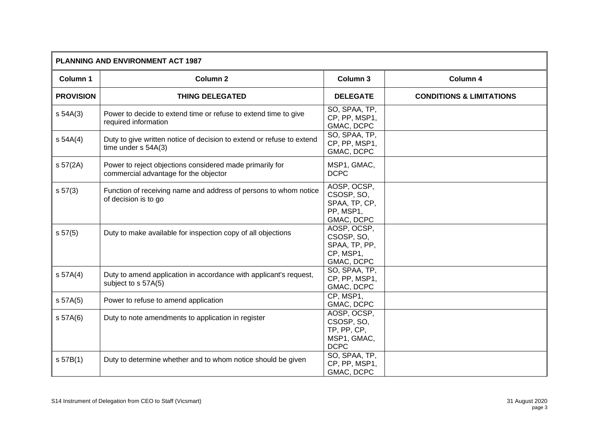| PLANNING AND ENVIRONMENT ACT 1987 |                                                                                                   |                                                                        |                                     |
|-----------------------------------|---------------------------------------------------------------------------------------------------|------------------------------------------------------------------------|-------------------------------------|
| Column 1                          | <b>Column 2</b>                                                                                   | Column 3                                                               | Column 4                            |
| <b>PROVISION</b>                  | <b>THING DELEGATED</b>                                                                            | <b>DELEGATE</b>                                                        | <b>CONDITIONS &amp; LIMITATIONS</b> |
| s 54A(3)                          | Power to decide to extend time or refuse to extend time to give<br>required information           | SO, SPAA, TP,<br>CP, PP, MSP1,<br>GMAC, DCPC                           |                                     |
| s 54A(4)                          | Duty to give written notice of decision to extend or refuse to extend<br>time under s 54A(3)      | SO, SPAA, TP,<br>CP, PP, MSP1,<br>GMAC, DCPC                           |                                     |
| s 57(2A)                          | Power to reject objections considered made primarily for<br>commercial advantage for the objector | MSP1, GMAC,<br><b>DCPC</b>                                             |                                     |
| s 57(3)                           | Function of receiving name and address of persons to whom notice<br>of decision is to go          | AOSP, OCSP,<br>CSOSP, SO,<br>SPAA, TP, CP,<br>PP, MSP1,<br>GMAC, DCPC  |                                     |
| s 57(5)                           | Duty to make available for inspection copy of all objections                                      | AOSP, OCSP,<br>CSOSP, SO,<br>SPAA, TP, PP,<br>CP, MSP1,<br>GMAC, DCPC  |                                     |
| S <sub>57A(4)</sub>               | Duty to amend application in accordance with applicant's request,<br>subject to s 57A(5)          | SO, SPAA, TP,<br>CP, PP, MSP1,<br>GMAC, DCPC                           |                                     |
| s 57A(5)                          | Power to refuse to amend application                                                              | CP, MSP1,<br>GMAC, DCPC                                                |                                     |
| s 57A(6)                          | Duty to note amendments to application in register                                                | AOSP, OCSP,<br>CSOSP, SO,<br>TP, PP, CP,<br>MSP1, GMAC,<br><b>DCPC</b> |                                     |
| S 57B(1)                          | Duty to determine whether and to whom notice should be given                                      | SO, SPAA, TP,<br>CP, PP, MSP1,<br>GMAC, DCPC                           |                                     |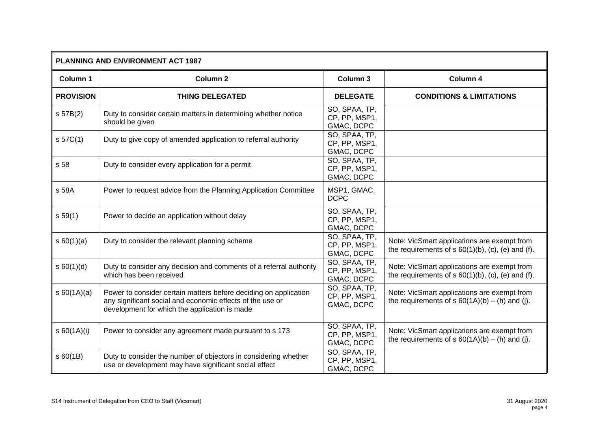| PLANNING AND ENVIRONMENT ACT 1987 |                                                                                                                                                                                |                                              |                                                                                                     |
|-----------------------------------|--------------------------------------------------------------------------------------------------------------------------------------------------------------------------------|----------------------------------------------|-----------------------------------------------------------------------------------------------------|
| Column 1                          | <b>Column 2</b>                                                                                                                                                                | Column 3                                     | Column 4                                                                                            |
| <b>PROVISION</b>                  | <b>THING DELEGATED</b>                                                                                                                                                         | <b>DELEGATE</b>                              | <b>CONDITIONS &amp; LIMITATIONS</b>                                                                 |
| S 57B(2)                          | Duty to consider certain matters in determining whether notice<br>should be given                                                                                              | SO, SPAA, TP,<br>CP, PP, MSP1,<br>GMAC, DCPC |                                                                                                     |
| s 57C(1)                          | Duty to give copy of amended application to referral authority                                                                                                                 | SO, SPAA, TP,<br>CP, PP, MSP1,<br>GMAC, DCPC |                                                                                                     |
| s 58                              | Duty to consider every application for a permit                                                                                                                                | SO, SPAA, TP,<br>CP, PP, MSP1,<br>GMAC, DCPC |                                                                                                     |
| s 58A                             | Power to request advice from the Planning Application Committee                                                                                                                | MSP1, GMAC,<br><b>DCPC</b>                   |                                                                                                     |
| s 59(1)                           | Power to decide an application without delay                                                                                                                                   | SO, SPAA, TP,<br>CP, PP, MSP1,<br>GMAC, DCPC |                                                                                                     |
| s 60(1)(a)                        | Duty to consider the relevant planning scheme                                                                                                                                  | SO, SPAA, TP,<br>CP, PP, MSP1,<br>GMAC, DCPC | Note: VicSmart applications are exempt from<br>the requirements of $s 60(1)(b)$ , (c), (e) and (f). |
| s 60(1)(d)                        | Duty to consider any decision and comments of a referral authority<br>which has been received                                                                                  | SO, SPAA, TP,<br>CP, PP, MSP1,<br>GMAC, DCPC | Note: VicSmart applications are exempt from<br>the requirements of $s 60(1)(b)$ , (c), (e) and (f). |
| s 60(1A)(a)                       | Power to consider certain matters before deciding on application<br>any significant social and economic effects of the use or<br>development for which the application is made | SO, SPAA, TP,<br>CP, PP, MSP1,<br>GMAC, DCPC | Note: VicSmart applications are exempt from<br>the requirements of $s 60(1A)(b) - (h)$ and (j).     |
| \$60(1A)(i)                       | Power to consider any agreement made pursuant to s 173                                                                                                                         | SO, SPAA, TP,<br>CP, PP, MSP1,<br>GMAC, DCPC | Note: VicSmart applications are exempt from<br>the requirements of $s$ 60(1A)(b) – (h) and (j).     |
| \$60(1B)                          | Duty to consider the number of objectors in considering whether<br>use or development may have significant social effect                                                       | SO, SPAA, TP,<br>CP, PP, MSP1,<br>GMAC, DCPC |                                                                                                     |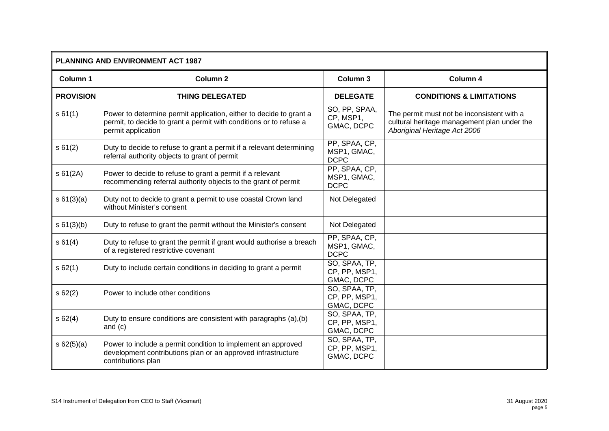| <b>PLANNING AND ENVIRONMENT ACT 1987</b> |                                                                                                                                                                |                                              |                                                                                                                           |
|------------------------------------------|----------------------------------------------------------------------------------------------------------------------------------------------------------------|----------------------------------------------|---------------------------------------------------------------------------------------------------------------------------|
| Column 1                                 | Column <sub>2</sub>                                                                                                                                            | Column 3                                     | Column 4                                                                                                                  |
| <b>PROVISION</b>                         | <b>THING DELEGATED</b>                                                                                                                                         | <b>DELEGATE</b>                              | <b>CONDITIONS &amp; LIMITATIONS</b>                                                                                       |
| s 61(1)                                  | Power to determine permit application, either to decide to grant a<br>permit, to decide to grant a permit with conditions or to refuse a<br>permit application | SO, PP, SPAA,<br>CP, MSP1,<br>GMAC, DCPC     | The permit must not be inconsistent with a<br>cultural heritage management plan under the<br>Aboriginal Heritage Act 2006 |
| s61(2)                                   | Duty to decide to refuse to grant a permit if a relevant determining<br>referral authority objects to grant of permit                                          | PP, SPAA, CP,<br>MSP1, GMAC,<br><b>DCPC</b>  |                                                                                                                           |
| s 61(2A)                                 | Power to decide to refuse to grant a permit if a relevant<br>recommending referral authority objects to the grant of permit                                    | PP, SPAA, CP,<br>MSP1, GMAC,<br><b>DCPC</b>  |                                                                                                                           |
| s 61(3)(a)                               | Duty not to decide to grant a permit to use coastal Crown land<br>without Minister's consent                                                                   | Not Delegated                                |                                                                                                                           |
| s 61(3)(b)                               | Duty to refuse to grant the permit without the Minister's consent                                                                                              | Not Delegated                                |                                                                                                                           |
| s 61(4)                                  | Duty to refuse to grant the permit if grant would authorise a breach<br>of a registered restrictive covenant                                                   | PP, SPAA, CP,<br>MSP1, GMAC,<br><b>DCPC</b>  |                                                                                                                           |
| s62(1)                                   | Duty to include certain conditions in deciding to grant a permit                                                                                               | SO, SPAA, TP,<br>CP, PP, MSP1,<br>GMAC, DCPC |                                                                                                                           |
| s62(2)                                   | Power to include other conditions                                                                                                                              | SO, SPAA, TP,<br>CP, PP, MSP1,<br>GMAC, DCPC |                                                                                                                           |
| s62(4)                                   | Duty to ensure conditions are consistent with paragraphs (a), (b)<br>and $(c)$                                                                                 | SO, SPAA, TP,<br>CP, PP, MSP1,<br>GMAC, DCPC |                                                                                                                           |
| $s \ 62(5)(a)$                           | Power to include a permit condition to implement an approved<br>development contributions plan or an approved infrastructure<br>contributions plan             | SO, SPAA, TP,<br>CP, PP, MSP1,<br>GMAC, DCPC |                                                                                                                           |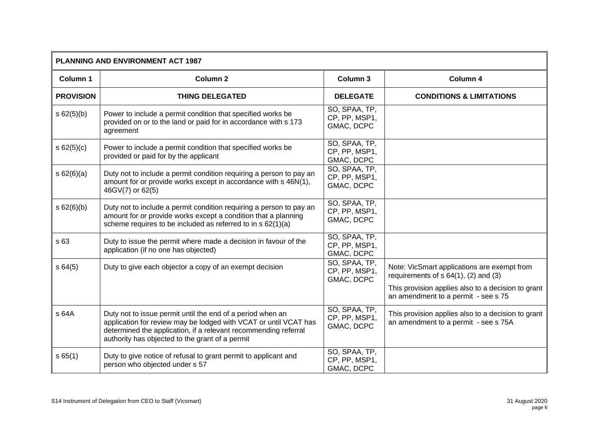| <b>PLANNING AND ENVIRONMENT ACT 1987</b> |                                                                                                                                                                                                                                                      |                                              |                                                                                            |
|------------------------------------------|------------------------------------------------------------------------------------------------------------------------------------------------------------------------------------------------------------------------------------------------------|----------------------------------------------|--------------------------------------------------------------------------------------------|
| Column 1                                 | Column <sub>2</sub>                                                                                                                                                                                                                                  | Column 3                                     | Column 4                                                                                   |
| <b>PROVISION</b>                         | <b>THING DELEGATED</b>                                                                                                                                                                                                                               | <b>DELEGATE</b>                              | <b>CONDITIONS &amp; LIMITATIONS</b>                                                        |
| s 62(5)(b)                               | Power to include a permit condition that specified works be<br>provided on or to the land or paid for in accordance with s 173<br>agreement                                                                                                          | SO, SPAA, TP,<br>CP, PP, MSP1,<br>GMAC, DCPC |                                                                                            |
| s 62(5)(c)                               | Power to include a permit condition that specified works be<br>provided or paid for by the applicant                                                                                                                                                 | SO, SPAA, TP,<br>CP, PP, MSP1,<br>GMAC, DCPC |                                                                                            |
| s 62(6)(a)                               | Duty not to include a permit condition requiring a person to pay an<br>amount for or provide works except in accordance with s 46N(1),<br>46GV(7) or 62(5)                                                                                           | SO, SPAA, TP,<br>CP, PP, MSP1,<br>GMAC, DCPC |                                                                                            |
| s 62(6)(b)                               | Duty not to include a permit condition requiring a person to pay an<br>amount for or provide works except a condition that a planning<br>scheme requires to be included as referred to in s 62(1)(a)                                                 | SO, SPAA, TP,<br>CP, PP, MSP1,<br>GMAC, DCPC |                                                                                            |
| s 63                                     | Duty to issue the permit where made a decision in favour of the<br>application (if no one has objected)                                                                                                                                              | SO, SPAA, TP,<br>CP, PP, MSP1,<br>GMAC, DCPC |                                                                                            |
| s64(5)                                   | Duty to give each objector a copy of an exempt decision                                                                                                                                                                                              | SO, SPAA, TP,<br>CP, PP, MSP1,<br>GMAC, DCPC | Note: VicSmart applications are exempt from<br>requirements of $s$ 64(1), (2) and (3)      |
|                                          |                                                                                                                                                                                                                                                      |                                              | This provision applies also to a decision to grant<br>an amendment to a permit - see s 75  |
| s 64A                                    | Duty not to issue permit until the end of a period when an<br>application for review may be lodged with VCAT or until VCAT has<br>determined the application, if a relevant recommending referral<br>authority has objected to the grant of a permit | SO, SPAA, TP,<br>CP, PP, MSP1,<br>GMAC, DCPC | This provision applies also to a decision to grant<br>an amendment to a permit - see s 75A |
| s65(1)                                   | Duty to give notice of refusal to grant permit to applicant and<br>person who objected under s 57                                                                                                                                                    | SO, SPAA, TP,<br>CP, PP, MSP1,<br>GMAC, DCPC |                                                                                            |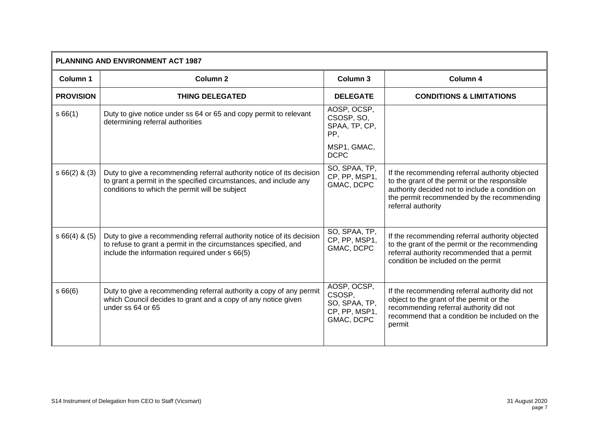| <b>PLANNING AND ENVIRONMENT ACT 1987</b> |                                                                                                                                                                                              |                                                                       |                                                                                                                                                                                                                         |
|------------------------------------------|----------------------------------------------------------------------------------------------------------------------------------------------------------------------------------------------|-----------------------------------------------------------------------|-------------------------------------------------------------------------------------------------------------------------------------------------------------------------------------------------------------------------|
| Column 1                                 | Column <sub>2</sub>                                                                                                                                                                          | Column 3                                                              | Column 4                                                                                                                                                                                                                |
| <b>PROVISION</b>                         | <b>THING DELEGATED</b>                                                                                                                                                                       | <b>DELEGATE</b>                                                       | <b>CONDITIONS &amp; LIMITATIONS</b>                                                                                                                                                                                     |
| s66(1)                                   | Duty to give notice under ss 64 or 65 and copy permit to relevant<br>determining referral authorities                                                                                        | AOSP, OCSP,<br>CSOSP, SO,<br>SPAA, TP, CP,<br>PP,                     |                                                                                                                                                                                                                         |
|                                          |                                                                                                                                                                                              | MSP1, GMAC,<br><b>DCPC</b>                                            |                                                                                                                                                                                                                         |
| $s66(2)$ & (3)                           | Duty to give a recommending referral authority notice of its decision<br>to grant a permit in the specified circumstances, and include any<br>conditions to which the permit will be subject | SO, SPAA, TP,<br>CP, PP, MSP1,<br>GMAC, DCPC                          | If the recommending referral authority objected<br>to the grant of the permit or the responsible<br>authority decided not to include a condition on<br>the permit recommended by the recommending<br>referral authority |
| $s66(4)$ & $(5)$                         | Duty to give a recommending referral authority notice of its decision<br>to refuse to grant a permit in the circumstances specified, and<br>include the information required under s 66(5)   | SO, SPAA, TP,<br>CP, PP, MSP1,<br>GMAC, DCPC                          | If the recommending referral authority objected<br>to the grant of the permit or the recommending<br>referral authority recommended that a permit<br>condition be included on the permit                                |
| s66(6)                                   | Duty to give a recommending referral authority a copy of any permit<br>which Council decides to grant and a copy of any notice given<br>under ss 64 or 65                                    | AOSP, OCSP,<br>CSOSP,<br>SO, SPAA, TP,<br>CP, PP, MSP1,<br>GMAC, DCPC | If the recommending referral authority did not<br>object to the grant of the permit or the<br>recommending referral authority did not<br>recommend that a condition be included on the<br>permit                        |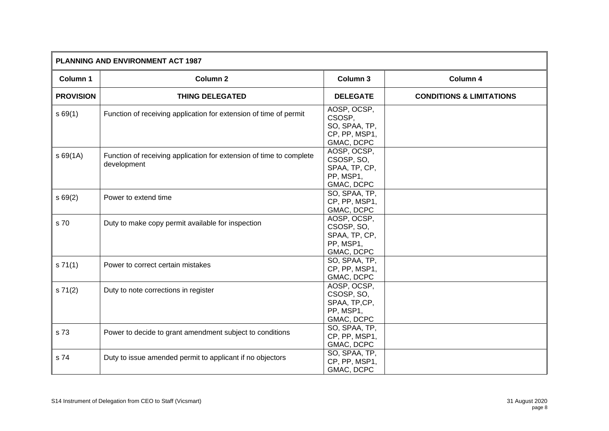| PLANNING AND ENVIRONMENT ACT 1987 |                                                                                    |                                                                       |                                     |
|-----------------------------------|------------------------------------------------------------------------------------|-----------------------------------------------------------------------|-------------------------------------|
| Column 1                          | <b>Column 2</b>                                                                    | Column 3                                                              | Column 4                            |
| <b>PROVISION</b>                  | <b>THING DELEGATED</b>                                                             | <b>DELEGATE</b>                                                       | <b>CONDITIONS &amp; LIMITATIONS</b> |
| s69(1)                            | Function of receiving application for extension of time of permit                  | AOSP, OCSP,<br>CSOSP,<br>SO, SPAA, TP,<br>CP, PP, MSP1,<br>GMAC, DCPC |                                     |
| \$69(1A)                          | Function of receiving application for extension of time to complete<br>development | AOSP, OCSP,<br>CSOSP, SO,<br>SPAA, TP, CP,<br>PP, MSP1,<br>GMAC, DCPC |                                     |
| s69(2)                            | Power to extend time                                                               | SO, SPAA, TP,<br>CP, PP, MSP1,<br>GMAC, DCPC                          |                                     |
| s 70                              | Duty to make copy permit available for inspection                                  | AOSP, OCSP,<br>CSOSP, SO,<br>SPAA, TP, CP,<br>PP, MSP1,<br>GMAC, DCPC |                                     |
| s 71(1)                           | Power to correct certain mistakes                                                  | SO, SPAA, TP,<br>CP, PP, MSP1,<br>GMAC, DCPC                          |                                     |
| s 71(2)                           | Duty to note corrections in register                                               | AOSP, OCSP,<br>CSOSP, SO,<br>SPAA, TP,CP,<br>PP, MSP1,<br>GMAC, DCPC  |                                     |
| s 73                              | Power to decide to grant amendment subject to conditions                           | SO, SPAA, TP,<br>CP, PP, MSP1,<br>GMAC, DCPC                          |                                     |
| s 74                              | Duty to issue amended permit to applicant if no objectors                          | SO, SPAA, TP,<br>CP, PP, MSP1,<br>GMAC, DCPC                          |                                     |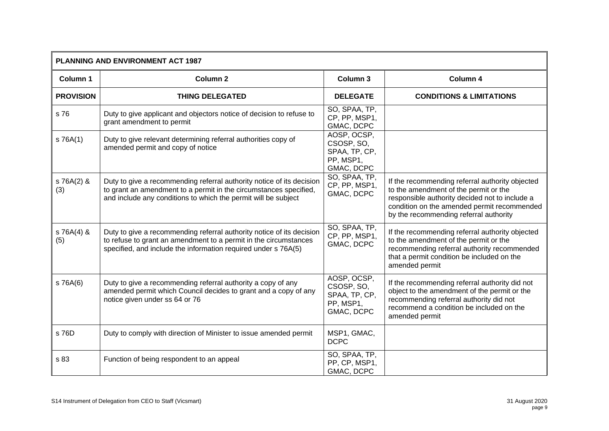| <b>PLANNING AND ENVIRONMENT ACT 1987</b> |                                                                                                                                                                                                              |                                                                       |                                                                                                                                                                                                                                     |
|------------------------------------------|--------------------------------------------------------------------------------------------------------------------------------------------------------------------------------------------------------------|-----------------------------------------------------------------------|-------------------------------------------------------------------------------------------------------------------------------------------------------------------------------------------------------------------------------------|
| Column 1                                 | Column <sub>2</sub>                                                                                                                                                                                          | <b>Column 3</b>                                                       | Column 4                                                                                                                                                                                                                            |
| <b>PROVISION</b>                         | <b>THING DELEGATED</b>                                                                                                                                                                                       | <b>DELEGATE</b>                                                       | <b>CONDITIONS &amp; LIMITATIONS</b>                                                                                                                                                                                                 |
| s 76                                     | Duty to give applicant and objectors notice of decision to refuse to<br>grant amendment to permit                                                                                                            | SO, SPAA, TP,<br>CP, PP, MSP1,<br>GMAC, DCPC                          |                                                                                                                                                                                                                                     |
| S 76A(1)                                 | Duty to give relevant determining referral authorities copy of<br>amended permit and copy of notice                                                                                                          | AOSP, OCSP,<br>CSOSP, SO,<br>SPAA, TP, CP,<br>PP, MSP1,<br>GMAC, DCPC |                                                                                                                                                                                                                                     |
| s 76A(2) &<br>(3)                        | Duty to give a recommending referral authority notice of its decision<br>to grant an amendment to a permit in the circumstances specified,<br>and include any conditions to which the permit will be subject | SO, SPAA, TP,<br>CP, PP, MSP1,<br>GMAC, DCPC                          | If the recommending referral authority objected<br>to the amendment of the permit or the<br>responsible authority decided not to include a<br>condition on the amended permit recommended<br>by the recommending referral authority |
| $S$ 76A(4) &<br>(5)                      | Duty to give a recommending referral authority notice of its decision<br>to refuse to grant an amendment to a permit in the circumstances<br>specified, and include the information required under s 76A(5)  | SO, SPAA, TP,<br>CP, PP, MSP1,<br>GMAC, DCPC                          | If the recommending referral authority objected<br>to the amendment of the permit or the<br>recommending referral authority recommended<br>that a permit condition be included on the<br>amended permit                             |
| s 76A(6)                                 | Duty to give a recommending referral authority a copy of any<br>amended permit which Council decides to grant and a copy of any<br>notice given under ss 64 or 76                                            | AOSP, OCSP,<br>CSOSP, SO,<br>SPAA, TP, CP,<br>PP, MSP1,<br>GMAC, DCPC | If the recommending referral authority did not<br>object to the amendment of the permit or the<br>recommending referral authority did not<br>recommend a condition be included on the<br>amended permit                             |
| s 76D                                    | Duty to comply with direction of Minister to issue amended permit                                                                                                                                            | MSP1, GMAC,<br><b>DCPC</b>                                            |                                                                                                                                                                                                                                     |
| s 83                                     | Function of being respondent to an appeal                                                                                                                                                                    | SO, SPAA, TP,<br>PP, CP, MSP1,<br>GMAC, DCPC                          |                                                                                                                                                                                                                                     |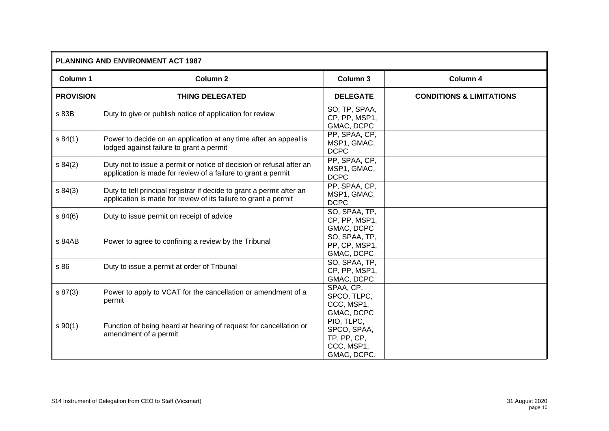| <b>PLANNING AND ENVIRONMENT ACT 1987</b> |                                                                                                                                          |                                                                       |                                     |
|------------------------------------------|------------------------------------------------------------------------------------------------------------------------------------------|-----------------------------------------------------------------------|-------------------------------------|
| Column 1                                 | <b>Column 2</b>                                                                                                                          | Column 3                                                              | Column 4                            |
| <b>PROVISION</b>                         | <b>THING DELEGATED</b>                                                                                                                   | <b>DELEGATE</b>                                                       | <b>CONDITIONS &amp; LIMITATIONS</b> |
| s 83B                                    | Duty to give or publish notice of application for review                                                                                 | SO, TP, SPAA,<br>CP, PP, MSP1,<br>GMAC, DCPC                          |                                     |
| s 84(1)                                  | Power to decide on an application at any time after an appeal is<br>lodged against failure to grant a permit                             | PP, SPAA, CP,<br>MSP1, GMAC,<br><b>DCPC</b>                           |                                     |
| s 84(2)                                  | Duty not to issue a permit or notice of decision or refusal after an<br>application is made for review of a failure to grant a permit    | PP, SPAA, CP,<br>MSP1, GMAC,<br><b>DCPC</b>                           |                                     |
| s 84(3)                                  | Duty to tell principal registrar if decide to grant a permit after an<br>application is made for review of its failure to grant a permit | PP, SPAA, CP,<br>MSP1, GMAC,<br><b>DCPC</b>                           |                                     |
| s 84(6)                                  | Duty to issue permit on receipt of advice                                                                                                | SO, SPAA, TP,<br>CP, PP, MSP1,<br>GMAC, DCPC                          |                                     |
| s 84AB                                   | Power to agree to confining a review by the Tribunal                                                                                     | SO, SPAA, TP,<br>PP, CP, MSP1,<br>GMAC, DCPC                          |                                     |
| s 86                                     | Duty to issue a permit at order of Tribunal                                                                                              | SO, SPAA, TP,<br>CP, PP, MSP1,<br>GMAC, DCPC                          |                                     |
| s 87(3)                                  | Power to apply to VCAT for the cancellation or amendment of a<br>permit                                                                  | SPAA, CP,<br>SPCO, TLPC,<br>CCC, MSP1,<br>GMAC, DCPC                  |                                     |
| $s \ 90(1)$                              | Function of being heard at hearing of request for cancellation or<br>amendment of a permit                                               | PIO, TLPC.<br>SPCO, SPAA,<br>TP, PP, CP,<br>CCC, MSP1,<br>GMAC, DCPC, |                                     |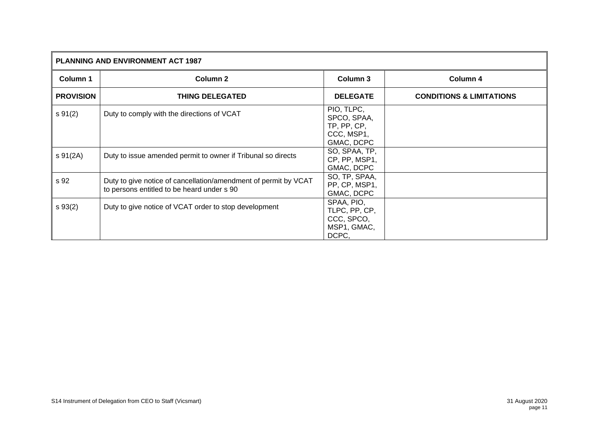| PLANNING AND ENVIRONMENT ACT 1987 |                                                                                                               |                                                                      |                                     |
|-----------------------------------|---------------------------------------------------------------------------------------------------------------|----------------------------------------------------------------------|-------------------------------------|
| Column 1                          | <b>Column 2</b>                                                                                               | Column 3                                                             | Column 4                            |
| <b>PROVISION</b>                  | <b>THING DELEGATED</b>                                                                                        | <b>DELEGATE</b>                                                      | <b>CONDITIONS &amp; LIMITATIONS</b> |
| $s \, 91(2)$                      | Duty to comply with the directions of VCAT                                                                    | PIO, TLPC,<br>SPCO, SPAA,<br>TP, PP, CP,<br>CCC, MSP1,<br>GMAC, DCPC |                                     |
| $s \, 91(2A)$                     | Duty to issue amended permit to owner if Tribunal so directs                                                  | SO, SPAA, TP,<br>CP, PP, MSP1,<br>GMAC, DCPC                         |                                     |
| s 92                              | Duty to give notice of cancellation/amendment of permit by VCAT<br>to persons entitled to be heard under s 90 | SO, TP, SPAA,<br>PP, CP, MSP1,<br>GMAC, DCPC                         |                                     |
| $s \, 93(2)$                      | Duty to give notice of VCAT order to stop development                                                         | SPAA, PIO,<br>TLPC, PP, CP,<br>CCC, SPCO,<br>MSP1, GMAC,<br>DCPC,    |                                     |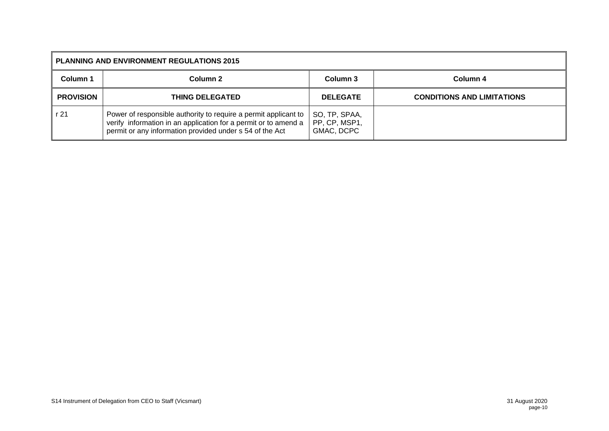| <b>PLANNING AND ENVIRONMENT REGULATIONS 2015</b> |                                                                                                                                                                                                |                                              |                                   |  |  |
|--------------------------------------------------|------------------------------------------------------------------------------------------------------------------------------------------------------------------------------------------------|----------------------------------------------|-----------------------------------|--|--|
| Column 1                                         | Column 2                                                                                                                                                                                       | Column 3                                     | Column 4                          |  |  |
| <b>PROVISION</b>                                 | <b>THING DELEGATED</b>                                                                                                                                                                         | <b>DELEGATE</b>                              | <b>CONDITIONS AND LIMITATIONS</b> |  |  |
| r 21                                             | Power of responsible authority to require a permit applicant to<br>verify information in an application for a permit or to amend a<br>permit or any information provided under s 54 of the Act | SO, TP, SPAA,<br>PP, CP, MSP1,<br>GMAC, DCPC |                                   |  |  |